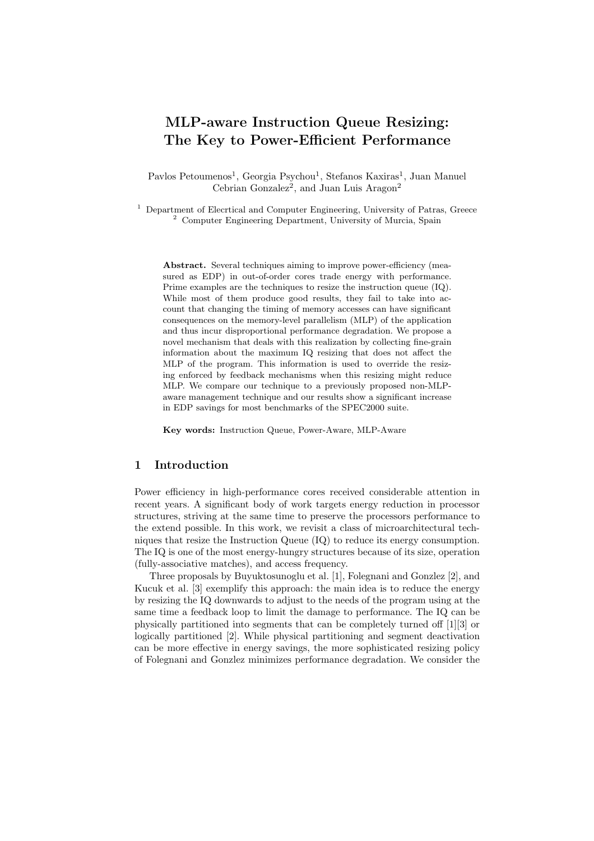# MLP-aware Instruction Queue Resizing: The Key to Power-Efficient Performance

Pavlos Petoumenos<sup>1</sup>, Georgia Psychou<sup>1</sup>, Stefanos Kaxiras<sup>1</sup>, Juan Manuel Cebrian Gonzalez<sup>2</sup>, and Juan Luis Aragon<sup>2</sup>

<sup>1</sup> Department of Elecrtical and Computer Engineering, University of Patras, Greece <sup>2</sup> Computer Engineering Department, University of Murcia, Spain

Abstract. Several techniques aiming to improve power-efficiency (measured as EDP) in out-of-order cores trade energy with performance. Prime examples are the techniques to resize the instruction queue (IQ). While most of them produce good results, they fail to take into account that changing the timing of memory accesses can have significant consequences on the memory-level parallelism (MLP) of the application and thus incur disproportional performance degradation. We propose a novel mechanism that deals with this realization by collecting fine-grain information about the maximum IQ resizing that does not affect the MLP of the program. This information is used to override the resizing enforced by feedback mechanisms when this resizing might reduce MLP. We compare our technique to a previously proposed non-MLPaware management technique and our results show a significant increase in EDP savings for most benchmarks of the SPEC2000 suite.

Key words: Instruction Queue, Power-Aware, MLP-Aware

## 1 Introduction

Power efficiency in high-performance cores received considerable attention in recent years. A significant body of work targets energy reduction in processor structures, striving at the same time to preserve the processors performance to the extend possible. In this work, we revisit a class of microarchitectural techniques that resize the Instruction Queue (IQ) to reduce its energy consumption. The IQ is one of the most energy-hungry structures because of its size, operation (fully-associative matches), and access frequency.

Three proposals by Buyuktosunoglu et al. [1], Folegnani and Gonzlez [2], and Kucuk et al. [3] exemplify this approach: the main idea is to reduce the energy by resizing the IQ downwards to adjust to the needs of the program using at the same time a feedback loop to limit the damage to performance. The IQ can be physically partitioned into segments that can be completely turned off [1][3] or logically partitioned [2]. While physical partitioning and segment deactivation can be more effective in energy savings, the more sophisticated resizing policy of Folegnani and Gonzlez minimizes performance degradation. We consider the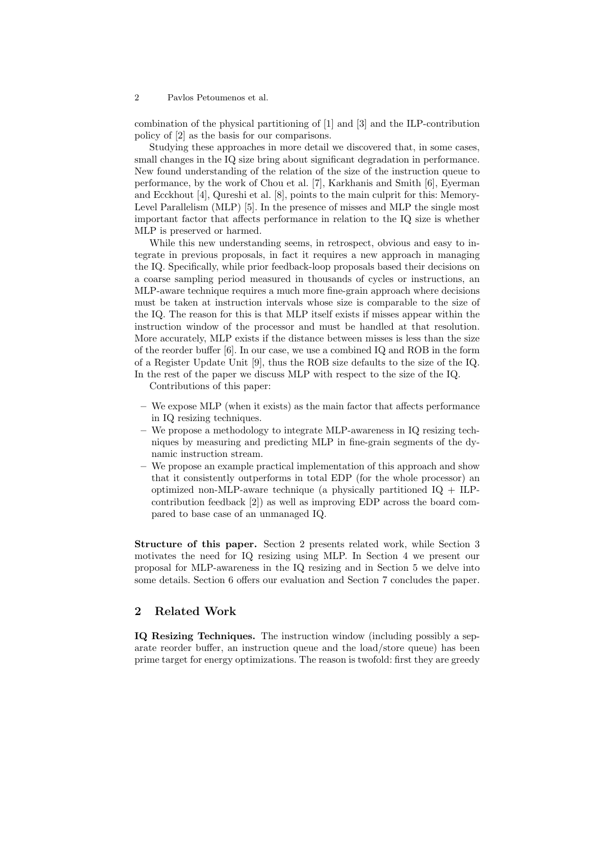combination of the physical partitioning of [1] and [3] and the ILP-contribution policy of [2] as the basis for our comparisons.

Studying these approaches in more detail we discovered that, in some cases, small changes in the IQ size bring about significant degradation in performance. New found understanding of the relation of the size of the instruction queue to performance, by the work of Chou et al. [7], Karkhanis and Smith [6], Eyerman and Ecckhout [4], Qureshi et al. [8], points to the main culprit for this: Memory-Level Parallelism (MLP) [5]. In the presence of misses and MLP the single most important factor that affects performance in relation to the IQ size is whether MLP is preserved or harmed.

While this new understanding seems, in retrospect, obvious and easy to integrate in previous proposals, in fact it requires a new approach in managing the IQ. Specifically, while prior feedback-loop proposals based their decisions on a coarse sampling period measured in thousands of cycles or instructions, an MLP-aware technique requires a much more fine-grain approach where decisions must be taken at instruction intervals whose size is comparable to the size of the IQ. The reason for this is that MLP itself exists if misses appear within the instruction window of the processor and must be handled at that resolution. More accurately, MLP exists if the distance between misses is less than the size of the reorder buffer [6]. In our case, we use a combined IQ and ROB in the form of a Register Update Unit [9], thus the ROB size defaults to the size of the IQ. In the rest of the paper we discuss MLP with respect to the size of the IQ.

Contributions of this paper:

- We expose MLP (when it exists) as the main factor that affects performance in IQ resizing techniques.
- We propose a methodology to integrate MLP-awareness in IQ resizing techniques by measuring and predicting MLP in fine-grain segments of the dynamic instruction stream.
- We propose an example practical implementation of this approach and show that it consistently outperforms in total EDP (for the whole processor) an optimized non-MLP-aware technique (a physically partitioned  $IQ + ILP$ contribution feedback [2]) as well as improving EDP across the board compared to base case of an unmanaged IQ.

Structure of this paper. Section 2 presents related work, while Section 3 motivates the need for IQ resizing using MLP. In Section 4 we present our proposal for MLP-awareness in the IQ resizing and in Section 5 we delve into some details. Section 6 offers our evaluation and Section 7 concludes the paper.

## 2 Related Work

IQ Resizing Techniques. The instruction window (including possibly a separate reorder buffer, an instruction queue and the load/store queue) has been prime target for energy optimizations. The reason is twofold: first they are greedy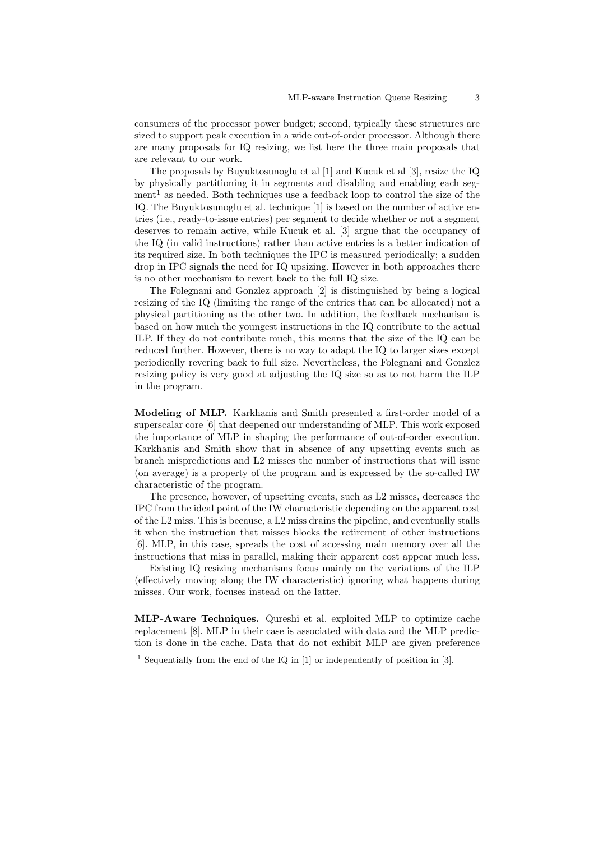consumers of the processor power budget; second, typically these structures are sized to support peak execution in a wide out-of-order processor. Although there are many proposals for IQ resizing, we list here the three main proposals that are relevant to our work.

The proposals by Buyuktosunoglu et al [1] and Kucuk et al [3], resize the IQ by physically partitioning it in segments and disabling and enabling each seg $ment<sup>1</sup>$  as needed. Both techniques use a feedback loop to control the size of the IQ. The Buyuktosunoglu et al. technique [1] is based on the number of active entries (i.e., ready-to-issue entries) per segment to decide whether or not a segment deserves to remain active, while Kucuk et al. [3] argue that the occupancy of the IQ (in valid instructions) rather than active entries is a better indication of its required size. In both techniques the IPC is measured periodically; a sudden drop in IPC signals the need for IQ upsizing. However in both approaches there is no other mechanism to revert back to the full IQ size.

The Folegnani and Gonzlez approach [2] is distinguished by being a logical resizing of the IQ (limiting the range of the entries that can be allocated) not a physical partitioning as the other two. In addition, the feedback mechanism is based on how much the youngest instructions in the IQ contribute to the actual ILP. If they do not contribute much, this means that the size of the IQ can be reduced further. However, there is no way to adapt the IQ to larger sizes except periodically revering back to full size. Nevertheless, the Folegnani and Gonzlez resizing policy is very good at adjusting the IQ size so as to not harm the ILP in the program.

Modeling of MLP. Karkhanis and Smith presented a first-order model of a superscalar core [6] that deepened our understanding of MLP. This work exposed the importance of MLP in shaping the performance of out-of-order execution. Karkhanis and Smith show that in absence of any upsetting events such as branch mispredictions and L2 misses the number of instructions that will issue (on average) is a property of the program and is expressed by the so-called IW characteristic of the program.

The presence, however, of upsetting events, such as L2 misses, decreases the IPC from the ideal point of the IW characteristic depending on the apparent cost of the L2 miss. This is because, a L2 miss drains the pipeline, and eventually stalls it when the instruction that misses blocks the retirement of other instructions [6]. MLP, in this case, spreads the cost of accessing main memory over all the instructions that miss in parallel, making their apparent cost appear much less.

Existing IQ resizing mechanisms focus mainly on the variations of the ILP (effectively moving along the IW characteristic) ignoring what happens during misses. Our work, focuses instead on the latter.

MLP-Aware Techniques. Qureshi et al. exploited MLP to optimize cache replacement [8]. MLP in their case is associated with data and the MLP prediction is done in the cache. Data that do not exhibit MLP are given preference

 $1$  Sequentially from the end of the IQ in [1] or independently of position in [3].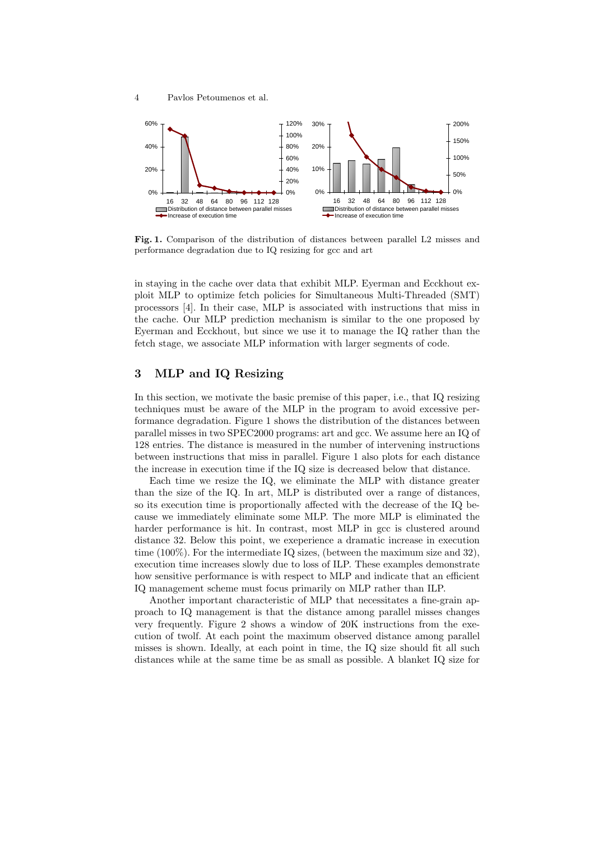

Fig. 1. Comparison of the distribution of distances between parallel L2 misses and performance degradation due to IQ resizing for gcc and art

in staying in the cache over data that exhibit MLP. Eyerman and Ecckhout exploit MLP to optimize fetch policies for Simultaneous Multi-Threaded (SMT) processors [4]. In their case, MLP is associated with instructions that miss in the cache. Our MLP prediction mechanism is similar to the one proposed by Eyerman and Ecckhout, but since we use it to manage the IQ rather than the fetch stage, we associate MLP information with larger segments of code.

# 3 MLP and IQ Resizing

In this section, we motivate the basic premise of this paper, i.e., that IQ resizing techniques must be aware of the MLP in the program to avoid excessive performance degradation. Figure 1 shows the distribution of the distances between parallel misses in two SPEC2000 programs: art and gcc. We assume here an IQ of 128 entries. The distance is measured in the number of intervening instructions between instructions that miss in parallel. Figure 1 also plots for each distance the increase in execution time if the IQ size is decreased below that distance.

Each time we resize the IQ, we eliminate the MLP with distance greater than the size of the IQ. In art, MLP is distributed over a range of distances, so its execution time is proportionally affected with the decrease of the IQ because we immediately eliminate some MLP. The more MLP is eliminated the harder performance is hit. In contrast, most MLP in gcc is clustered around distance 32. Below this point, we exeperience a dramatic increase in execution time (100%). For the intermediate IQ sizes, (between the maximum size and 32), execution time increases slowly due to loss of ILP. These examples demonstrate how sensitive performance is with respect to MLP and indicate that an efficient IQ management scheme must focus primarily on MLP rather than ILP.

Another important characteristic of MLP that necessitates a fine-grain approach to IQ management is that the distance among parallel misses changes very frequently. Figure 2 shows a window of 20K instructions from the execution of twolf. At each point the maximum observed distance among parallel misses is shown. Ideally, at each point in time, the IQ size should fit all such distances while at the same time be as small as possible. A blanket IQ size for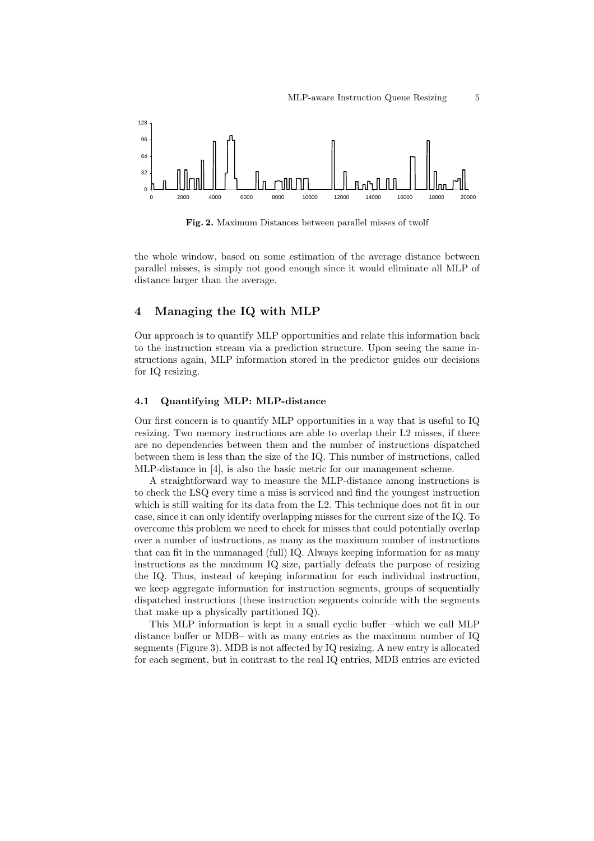

Fig. 2. Maximum Distances between parallel misses of twolf

the whole window, based on some estimation of the average distance between parallel misses, is simply not good enough since it would eliminate all MLP of distance larger than the average.

# 4 Managing the IQ with MLP

Our approach is to quantify MLP opportunities and relate this information back to the instruction stream via a prediction structure. Upon seeing the same instructions again, MLP information stored in the predictor guides our decisions for IQ resizing.

# 4.1 Quantifying MLP: MLP-distance

Our first concern is to quantify MLP opportunities in a way that is useful to IQ resizing. Two memory instructions are able to overlap their L2 misses, if there are no dependencies between them and the number of instructions dispatched between them is less than the size of the IQ. This number of instructions, called MLP-distance in [4], is also the basic metric for our management scheme.

A straightforward way to measure the MLP-distance among instructions is to check the LSQ every time a miss is serviced and find the youngest instruction which is still waiting for its data from the L2. This technique does not fit in our case, since it can only identify overlapping misses for the current size of the IQ. To overcome this problem we need to check for misses that could potentially overlap over a number of instructions, as many as the maximum number of instructions that can fit in the unmanaged (full) IQ. Always keeping information for as many instructions as the maximum IQ size, partially defeats the purpose of resizing the IQ. Thus, instead of keeping information for each individual instruction, we keep aggregate information for instruction segments, groups of sequentially dispatched instructions (these instruction segments coincide with the segments that make up a physically partitioned IQ).

This MLP information is kept in a small cyclic buffer –which we call MLP distance buffer or MDB– with as many entries as the maximum number of IQ segments (Figure 3). MDB is not affected by IQ resizing. A new entry is allocated for each segment, but in contrast to the real IQ entries, MDB entries are evicted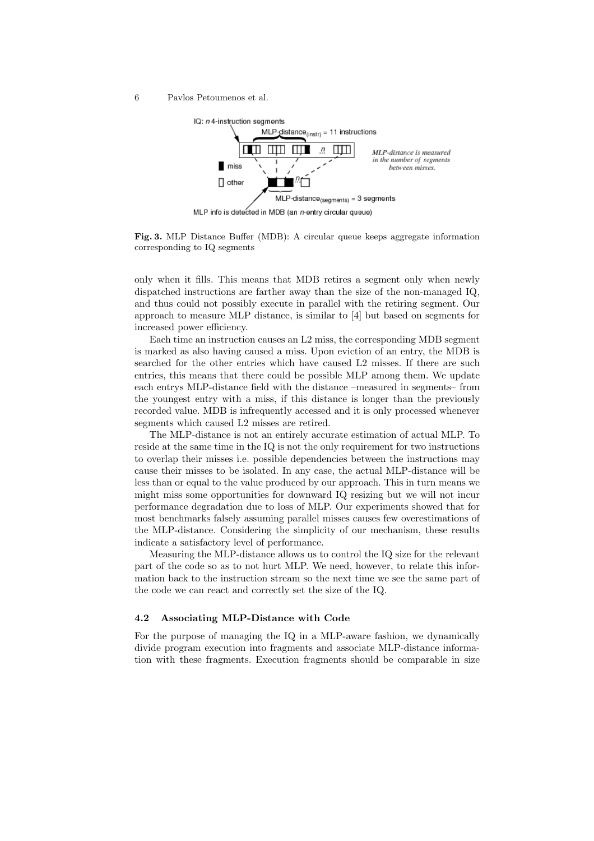

Fig. 3. MLP Distance Buffer (MDB): A circular queue keeps aggregate information corresponding to IQ segments

only when it fills. This means that MDB retires a segment only when newly dispatched instructions are farther away than the size of the non-managed IQ, and thus could not possibly execute in parallel with the retiring segment. Our approach to measure MLP distance, is similar to [4] but based on segments for increased power efficiency.

Each time an instruction causes an L2 miss, the corresponding MDB segment is marked as also having caused a miss. Upon eviction of an entry, the MDB is searched for the other entries which have caused L2 misses. If there are such entries, this means that there could be possible MLP among them. We update each entrys MLP-distance field with the distance –measured in segments– from the youngest entry with a miss, if this distance is longer than the previously recorded value. MDB is infrequently accessed and it is only processed whenever segments which caused L2 misses are retired.

The MLP-distance is not an entirely accurate estimation of actual MLP. To reside at the same time in the IQ is not the only requirement for two instructions to overlap their misses i.e. possible dependencies between the instructions may cause their misses to be isolated. In any case, the actual MLP-distance will be less than or equal to the value produced by our approach. This in turn means we might miss some opportunities for downward IQ resizing but we will not incur performance degradation due to loss of MLP. Our experiments showed that for most benchmarks falsely assuming parallel misses causes few overestimations of the MLP-distance. Considering the simplicity of our mechanism, these results indicate a satisfactory level of performance.

Measuring the MLP-distance allows us to control the IQ size for the relevant part of the code so as to not hurt MLP. We need, however, to relate this information back to the instruction stream so the next time we see the same part of the code we can react and correctly set the size of the IQ.

### 4.2 Associating MLP-Distance with Code

For the purpose of managing the IQ in a MLP-aware fashion, we dynamically divide program execution into fragments and associate MLP-distance information with these fragments. Execution fragments should be comparable in size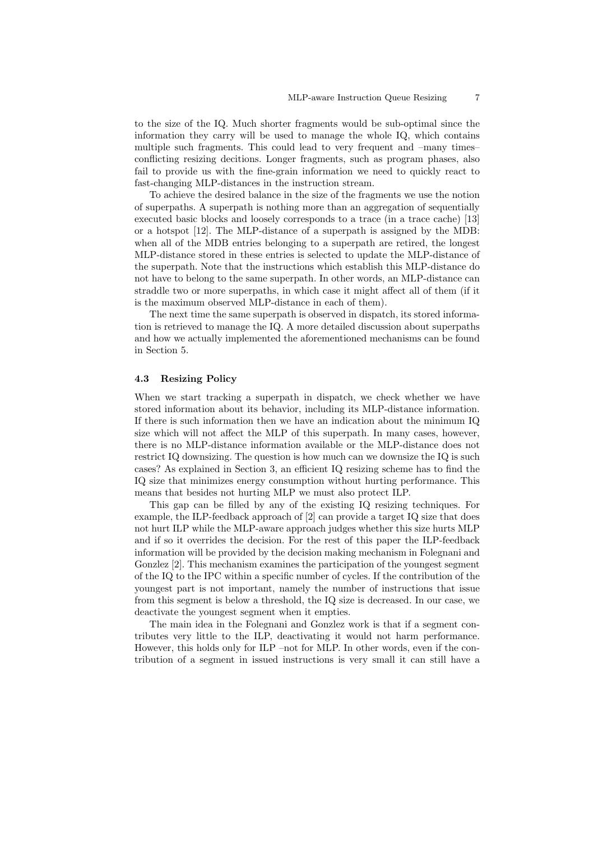to the size of the IQ. Much shorter fragments would be sub-optimal since the information they carry will be used to manage the whole IQ, which contains multiple such fragments. This could lead to very frequent and –many times– conflicting resizing decitions. Longer fragments, such as program phases, also fail to provide us with the fine-grain information we need to quickly react to fast-changing MLP-distances in the instruction stream.

To achieve the desired balance in the size of the fragments we use the notion of superpaths. A superpath is nothing more than an aggregation of sequentially executed basic blocks and loosely corresponds to a trace (in a trace cache) [13] or a hotspot [12]. The MLP-distance of a superpath is assigned by the MDB: when all of the MDB entries belonging to a superpath are retired, the longest MLP-distance stored in these entries is selected to update the MLP-distance of the superpath. Note that the instructions which establish this MLP-distance do not have to belong to the same superpath. In other words, an MLP-distance can straddle two or more superpaths, in which case it might affect all of them (if it is the maximum observed MLP-distance in each of them).

The next time the same superpath is observed in dispatch, its stored information is retrieved to manage the IQ. A more detailed discussion about superpaths and how we actually implemented the aforementioned mechanisms can be found in Section 5.

### 4.3 Resizing Policy

When we start tracking a superpath in dispatch, we check whether we have stored information about its behavior, including its MLP-distance information. If there is such information then we have an indication about the minimum IQ size which will not affect the MLP of this superpath. In many cases, however, there is no MLP-distance information available or the MLP-distance does not restrict IQ downsizing. The question is how much can we downsize the IQ is such cases? As explained in Section 3, an efficient IQ resizing scheme has to find the IQ size that minimizes energy consumption without hurting performance. This means that besides not hurting MLP we must also protect ILP.

This gap can be filled by any of the existing IQ resizing techniques. For example, the ILP-feedback approach of [2] can provide a target IQ size that does not hurt ILP while the MLP-aware approach judges whether this size hurts MLP and if so it overrides the decision. For the rest of this paper the ILP-feedback information will be provided by the decision making mechanism in Folegnani and Gonzlez [2]. This mechanism examines the participation of the youngest segment of the IQ to the IPC within a specific number of cycles. If the contribution of the youngest part is not important, namely the number of instructions that issue from this segment is below a threshold, the IQ size is decreased. In our case, we deactivate the youngest segment when it empties.

The main idea in the Folegnani and Gonzlez work is that if a segment contributes very little to the ILP, deactivating it would not harm performance. However, this holds only for ILP –not for MLP. In other words, even if the contribution of a segment in issued instructions is very small it can still have a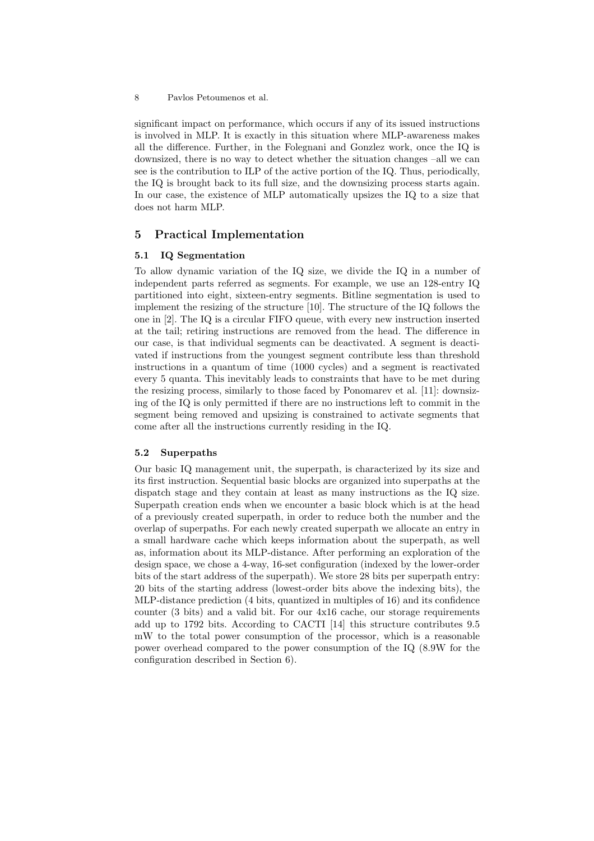significant impact on performance, which occurs if any of its issued instructions is involved in MLP. It is exactly in this situation where MLP-awareness makes all the difference. Further, in the Folegnani and Gonzlez work, once the IQ is downsized, there is no way to detect whether the situation changes –all we can see is the contribution to ILP of the active portion of the IQ. Thus, periodically, the IQ is brought back to its full size, and the downsizing process starts again. In our case, the existence of MLP automatically upsizes the IQ to a size that does not harm MLP.

## 5 Practical Implementation

## 5.1 IQ Segmentation

To allow dynamic variation of the IQ size, we divide the IQ in a number of independent parts referred as segments. For example, we use an 128-entry IQ partitioned into eight, sixteen-entry segments. Bitline segmentation is used to implement the resizing of the structure [10]. The structure of the IQ follows the one in [2]. The IQ is a circular FIFO queue, with every new instruction inserted at the tail; retiring instructions are removed from the head. The difference in our case, is that individual segments can be deactivated. A segment is deactivated if instructions from the youngest segment contribute less than threshold instructions in a quantum of time (1000 cycles) and a segment is reactivated every 5 quanta. This inevitably leads to constraints that have to be met during the resizing process, similarly to those faced by Ponomarev et al. [11]: downsizing of the IQ is only permitted if there are no instructions left to commit in the segment being removed and upsizing is constrained to activate segments that come after all the instructions currently residing in the IQ.

### 5.2 Superpaths

Our basic IQ management unit, the superpath, is characterized by its size and its first instruction. Sequential basic blocks are organized into superpaths at the dispatch stage and they contain at least as many instructions as the IQ size. Superpath creation ends when we encounter a basic block which is at the head of a previously created superpath, in order to reduce both the number and the overlap of superpaths. For each newly created superpath we allocate an entry in a small hardware cache which keeps information about the superpath, as well as, information about its MLP-distance. After performing an exploration of the design space, we chose a 4-way, 16-set configuration (indexed by the lower-order bits of the start address of the superpath). We store 28 bits per superpath entry: 20 bits of the starting address (lowest-order bits above the indexing bits), the MLP-distance prediction (4 bits, quantized in multiples of 16) and its confidence counter (3 bits) and a valid bit. For our 4x16 cache, our storage requirements add up to 1792 bits. According to CACTI [14] this structure contributes 9.5 mW to the total power consumption of the processor, which is a reasonable power overhead compared to the power consumption of the IQ (8.9W for the configuration described in Section 6).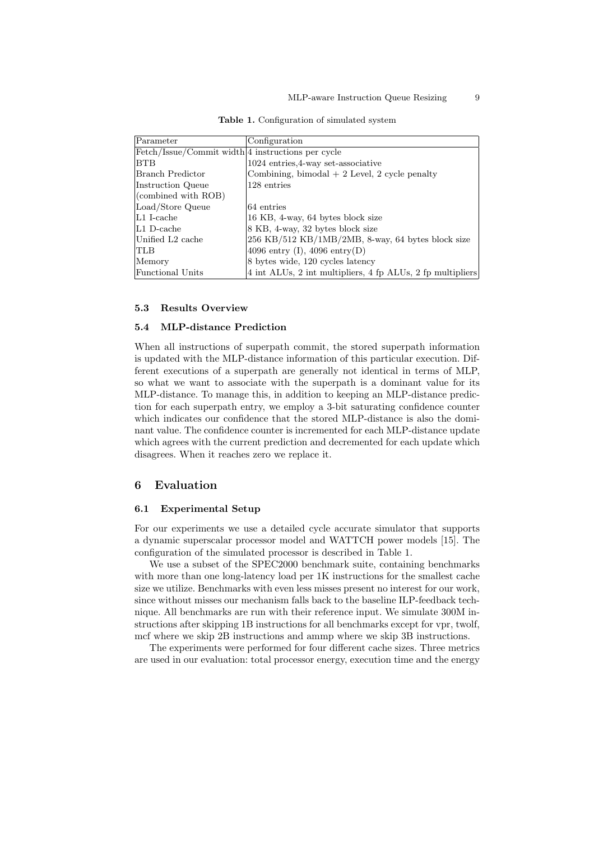| Parameter                                         | Configuration                                              |
|---------------------------------------------------|------------------------------------------------------------|
| Fetch/Issue/Commit width 4 instructions per cycle |                                                            |
| <b>BTB</b>                                        | 1024 entries, 4-way set-associative                        |
| <b>Branch Predictor</b>                           | Combining, bimodal $+2$ Level, 2 cycle penalty             |
| Instruction Queue                                 | 128 entries                                                |
| $\alpha$ (combined with ROB)                      |                                                            |
| Load/Store Queue                                  | 64 entries                                                 |
| $L1$ I-cache                                      | 16 KB, 4-way, 64 bytes block size                          |
| $L1$ D-cache                                      | 8 KB, 4-way, 32 bytes block size                           |
| Unified L2 cache                                  | $256$ KB/512 KB/1MB/2MB, 8-way, 64 bytes block size        |
| <b>TLB</b>                                        | 4096 entry (I), 4096 entry (D)                             |
| Memory                                            | 8 bytes wide, 120 cycles latency                           |
| Functional Units                                  | 4 int ALUs, 2 int multipliers, 4 fp ALUs, 2 fp multipliers |

Table 1. Configuration of simulated system

#### 5.3 Results Overview

### 5.4 MLP-distance Prediction

When all instructions of superpath commit, the stored superpath information is updated with the MLP-distance information of this particular execution. Different executions of a superpath are generally not identical in terms of MLP, so what we want to associate with the superpath is a dominant value for its MLP-distance. To manage this, in addition to keeping an MLP-distance prediction for each superpath entry, we employ a 3-bit saturating confidence counter which indicates our confidence that the stored MLP-distance is also the dominant value. The confidence counter is incremented for each MLP-distance update which agrees with the current prediction and decremented for each update which disagrees. When it reaches zero we replace it.

# 6 Evaluation

#### 6.1 Experimental Setup

For our experiments we use a detailed cycle accurate simulator that supports a dynamic superscalar processor model and WATTCH power models [15]. The configuration of the simulated processor is described in Table 1.

We use a subset of the SPEC2000 benchmark suite, containing benchmarks with more than one long-latency load per 1K instructions for the smallest cache size we utilize. Benchmarks with even less misses present no interest for our work, since without misses our mechanism falls back to the baseline ILP-feedback technique. All benchmarks are run with their reference input. We simulate 300M instructions after skipping 1B instructions for all benchmarks except for vpr, twolf, mcf where we skip 2B instructions and ammp where we skip 3B instructions.

The experiments were performed for four different cache sizes. Three metrics are used in our evaluation: total processor energy, execution time and the energy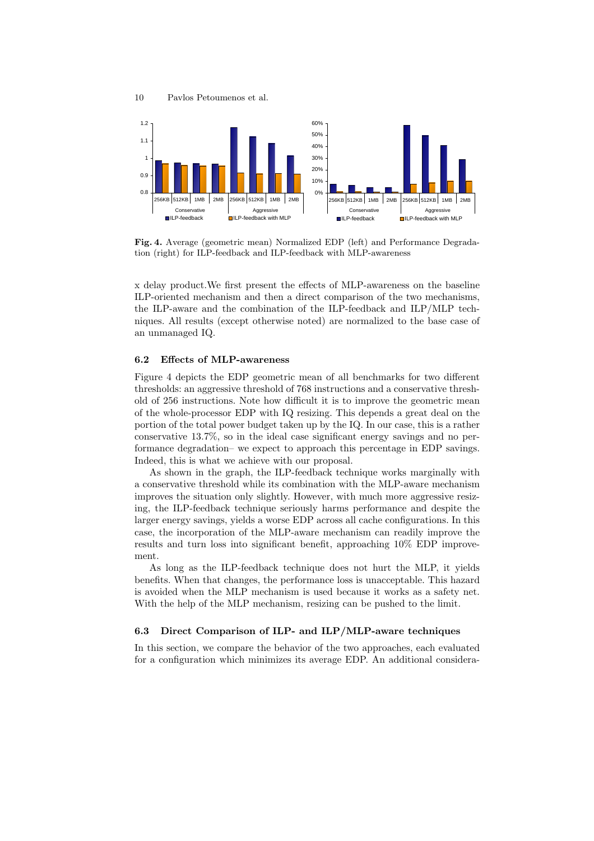



Fig. 4. Average (geometric mean) Normalized EDP (left) and Performance Degradation (right) for ILP-feedback and ILP-feedback with MLP-awareness

x delay product.We first present the effects of MLP-awareness on the baseline ILP-oriented mechanism and then a direct comparison of the two mechanisms, the ILP-aware and the combination of the ILP-feedback and ILP/MLP techniques. All results (except otherwise noted) are normalized to the base case of an unmanaged IQ.

#### 6.2 Effects of MLP-awareness

Figure 4 depicts the EDP geometric mean of all benchmarks for two different thresholds: an aggressive threshold of 768 instructions and a conservative threshold of 256 instructions. Note how difficult it is to improve the geometric mean of the whole-processor EDP with IQ resizing. This depends a great deal on the portion of the total power budget taken up by the IQ. In our case, this is a rather conservative 13.7%, so in the ideal case significant energy savings and no performance degradation– we expect to approach this percentage in EDP savings. Indeed, this is what we achieve with our proposal.

As shown in the graph, the ILP-feedback technique works marginally with a conservative threshold while its combination with the MLP-aware mechanism improves the situation only slightly. However, with much more aggressive resizing, the ILP-feedback technique seriously harms performance and despite the larger energy savings, yields a worse EDP across all cache configurations. In this case, the incorporation of the MLP-aware mechanism can readily improve the results and turn loss into significant benefit, approaching 10% EDP improvement.

As long as the ILP-feedback technique does not hurt the MLP, it yields benefits. When that changes, the performance loss is unacceptable. This hazard is avoided when the MLP mechanism is used because it works as a safety net. With the help of the MLP mechanism, resizing can be pushed to the limit.

## 6.3 Direct Comparison of ILP- and ILP/MLP-aware techniques

In this section, we compare the behavior of the two approaches, each evaluated for a configuration which minimizes its average EDP. An additional considera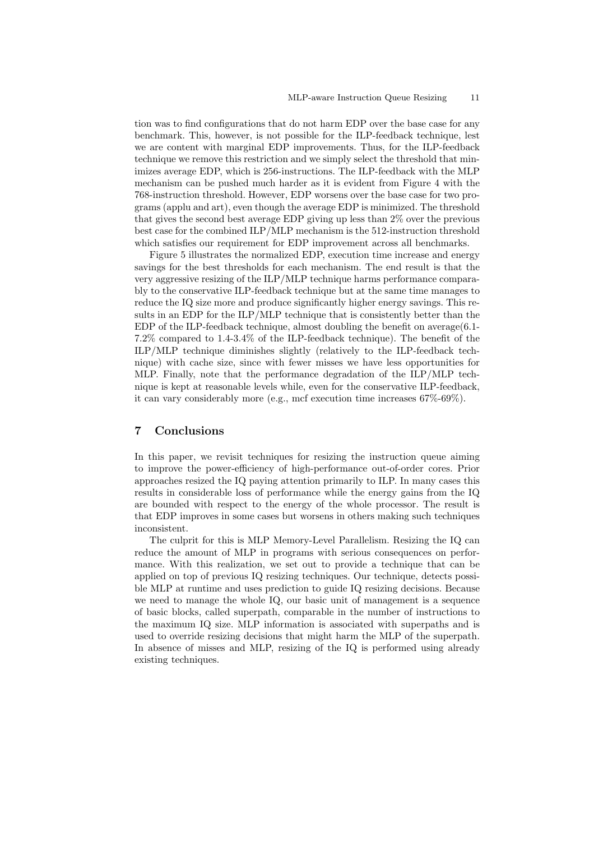tion was to find configurations that do not harm EDP over the base case for any benchmark. This, however, is not possible for the ILP-feedback technique, lest we are content with marginal EDP improvements. Thus, for the ILP-feedback technique we remove this restriction and we simply select the threshold that minimizes average EDP, which is 256-instructions. The ILP-feedback with the MLP mechanism can be pushed much harder as it is evident from Figure 4 with the 768-instruction threshold. However, EDP worsens over the base case for two programs (applu and art), even though the average EDP is minimized. The threshold that gives the second best average EDP giving up less than 2% over the previous best case for the combined ILP/MLP mechanism is the 512-instruction threshold which satisfies our requirement for EDP improvement across all benchmarks.

Figure 5 illustrates the normalized EDP, execution time increase and energy savings for the best thresholds for each mechanism. The end result is that the very aggressive resizing of the ILP/MLP technique harms performance comparably to the conservative ILP-feedback technique but at the same time manages to reduce the IQ size more and produce significantly higher energy savings. This results in an EDP for the ILP/MLP technique that is consistently better than the EDP of the ILP-feedback technique, almost doubling the benefit on average(6.1- 7.2% compared to 1.4-3.4% of the ILP-feedback technique). The benefit of the ILP/MLP technique diminishes slightly (relatively to the ILP-feedback technique) with cache size, since with fewer misses we have less opportunities for MLP. Finally, note that the performance degradation of the ILP/MLP technique is kept at reasonable levels while, even for the conservative ILP-feedback, it can vary considerably more (e.g., mcf execution time increases 67%-69%).

## 7 Conclusions

In this paper, we revisit techniques for resizing the instruction queue aiming to improve the power-efficiency of high-performance out-of-order cores. Prior approaches resized the IQ paying attention primarily to ILP. In many cases this results in considerable loss of performance while the energy gains from the IQ are bounded with respect to the energy of the whole processor. The result is that EDP improves in some cases but worsens in others making such techniques inconsistent.

The culprit for this is MLP Memory-Level Parallelism. Resizing the IQ can reduce the amount of MLP in programs with serious consequences on performance. With this realization, we set out to provide a technique that can be applied on top of previous IQ resizing techniques. Our technique, detects possible MLP at runtime and uses prediction to guide IQ resizing decisions. Because we need to manage the whole IQ, our basic unit of management is a sequence of basic blocks, called superpath, comparable in the number of instructions to the maximum IQ size. MLP information is associated with superpaths and is used to override resizing decisions that might harm the MLP of the superpath. In absence of misses and MLP, resizing of the IQ is performed using already existing techniques.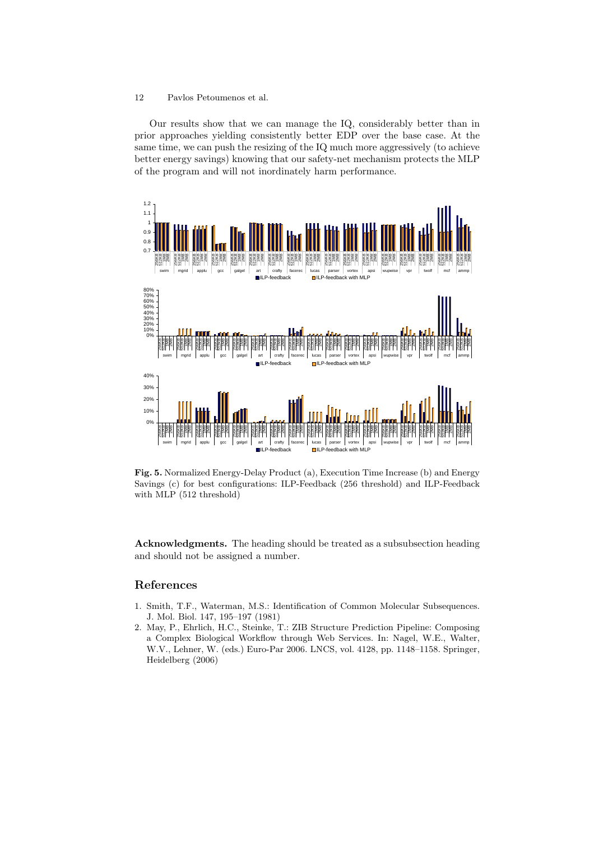Our results show that we can manage the IQ, considerably better than in prior approaches yielding consistently better EDP over the base case. At the same time, we can push the resizing of the IQ much more aggressively (to achieve better energy savings) knowing that our safety-net mechanism protects the MLP of the program and will not inordinately harm performance.



Fig. 5. Normalized Energy-Delay Product (a), Execution Time Increase (b) and Energy Savings (c) for best configurations: ILP-Feedback (256 threshold) and ILP-Feedback with MLP (512 threshold)

Acknowledgments. The heading should be treated as a subsubsection heading and should not be assigned a number.

## References

- 1. Smith, T.F., Waterman, M.S.: Identification of Common Molecular Subsequences. J. Mol. Biol. 147, 195–197 (1981)
- 2. May, P., Ehrlich, H.C., Steinke, T.: ZIB Structure Prediction Pipeline: Composing a Complex Biological Workflow through Web Services. In: Nagel, W.E., Walter, W.V., Lehner, W. (eds.) Euro-Par 2006. LNCS, vol. 4128, pp. 1148–1158. Springer, Heidelberg (2006)